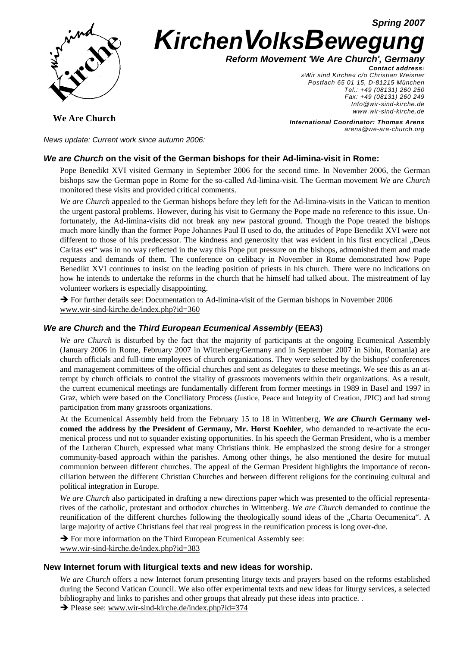**Spring 2007**



# **KirchenVolksBewegung**

**Reform Movement 'We Are Church', Germany**

**Contact address:**  »Wir sind Kirche« c/o Christian Weisner Postfach 65 01 15, D-81215 München Tel.: +49 (08131) 260 250 Fax: +49 (08131) 260 249 Info@wir-sind-kirche.de www.wir-sind-kirche.de

**We Are Church**

**International Coordinator: Thomas Arens** arens@we-are-church.org

News update: Current work since autumn 2006:

# **We are Church on the visit of the German bishops for their Ad-limina-visit in Rome:**

Pope Benedikt XVI visited Germany in September 2006 for the second time. In November 2006, the German bishops saw the German pope in Rome for the so-called Ad-limina-visit. The German movement *We are Church*  monitored these visits and provided critical comments.

*We are Church* appealed to the German bishops before they left for the Ad-limina-visits in the Vatican to mention the urgent pastoral problems. However, during his visit to Germany the Pope made no reference to this issue. Unfortunately, the Ad-limina-visits did not break any new pastoral ground. Though the Pope treated the bishops much more kindly than the former Pope Johannes Paul II used to do, the attitudes of Pope Benedikt XVI were not different to those of his predecessor. The kindness and generosity that was evident in his first encyclical "Deus Caritas est" was in no way reflected in the way this Pope put pressure on the bishops, admonished them and made requests and demands of them. The conference on celibacy in November in Rome demonstrated how Pope Benedikt XVI continues to insist on the leading position of priests in his church. There were no indications on how he intends to undertake the reforms in the church that he himself had talked about. The mistreatment of lay volunteer workers is especially disappointing.

 $\rightarrow$  For further details see: Documentation to Ad-limina-visit of the German bishops in November 2006 www.wir-sind-kirche.de/index.php?id=360

# **We are Church and the Third European Ecumenical Assembly (EEA3)**

*We are Church* is disturbed by the fact that the majority of participants at the ongoing Ecumenical Assembly (January 2006 in Rome, February 2007 in Wittenberg/Germany and in September 2007 in Sibiu, Romania) are church officials and full-time employees of church organizations. They were selected by the bishops' conferences and management committees of the official churches and sent as delegates to these meetings. We see this as an attempt by church officials to control the vitality of grassroots movements within their organizations. As a result, the current ecumenical meetings are fundamentally different from former meetings in 1989 in Basel and 1997 in Graz, which were based on the Conciliatory Process (Justice, Peace and Integrity of Creation, JPIC) and had strong participation from many grassroots organizations.

At the Ecumenical Assembly held from the February 15 to 18 in Wittenberg, *We are Church* **Germany welcomed the address by the President of Germany, Mr. Horst Koehler**, who demanded to re-activate the ecumenical process und not to squander existing opportunities. In his speech the German President, who is a member of the Lutheran Church, expressed what many Christians think. He emphasized the strong desire for a stronger community-based approach within the parishes. Among other things, he also mentioned the desire for mutual communion between different churches. The appeal of the German President highlights the importance of reconciliation between the different Christian Churches and between different religions for the continuing cultural and political integration in Europe.

*We are Church* also participated in drafting a new directions paper which was presented to the official representatives of the catholic, protestant and orthodox churches in Wittenberg. *We are Church* demanded to continue the reunification of the different churches following the theologically sound ideas of the "Charta Oecumenica". A large majority of active Christians feel that real progress in the reunification process is long over-due.

 $\rightarrow$  For more information on the Third European Ecumenical Assembly see: www.wir-sind-kirche.de/index.php?id=383

## **New Internet forum with liturgical texts and new ideas for worship.**

*We are Church* offers a new Internet forum presenting liturgy texts and prayers based on the reforms established during the Second Vatican Council. We also offer experimental texts and new ideas for liturgy services, a selected bibliography and links to parishes and other groups that already put these ideas into practice. .

 $\rightarrow$  Please see: www.wir-sind-kirche.de/index.php?id=374